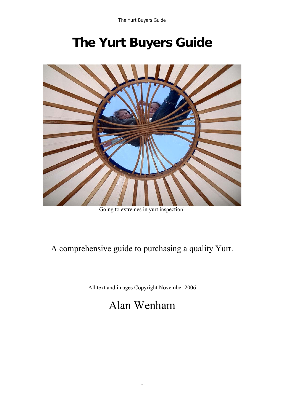# **The Yurt Buyers Guide**



Going to extremes in yurt inspection!

### A comprehensive guide to purchasing a quality Yurt.

All text and images Copyright November 2006

## Alan Wenham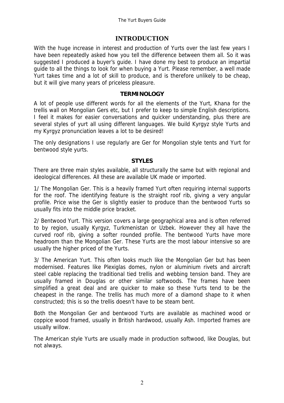#### **INTRODUCTION**

With the huge increase in interest and production of Yurts over the last few years I have been repeatedly asked how you tell the difference between them all. So it was suggested I produced a buyer's guide. I have done my best to produce an impartial guide to all the things to look for when buying a Yurt. Please remember, a well made Yurt takes time and a lot of skill to produce, and is therefore unlikely to be cheap, but it will give many years of priceless pleasure.

#### **TERMINOLOGY**

A lot of people use different words for all the elements of the Yurt, Khana for the trellis wall on Mongolian Gers etc, but I prefer to keep to simple English descriptions. I feel it makes for easier conversations and quicker understanding, plus there are several styles of yurt all using different languages. We build Kyrgyz style Yurts and my Kyrgyz pronunciation leaves a lot to be desired!

The only designations I use regularly are Ger for Mongolian style tents and Yurt for bentwood style yurts.

#### **STYLES**

There are three main styles available, all structurally the same but with regional and ideological differences. All these are available UK made or imported.

1/ The Mongolian Ger. This is a heavily framed Yurt often requiring internal supports for the roof. The identifying feature is the straight roof rib, giving a very angular profile. Price wise the Ger is slightly easier to produce than the bentwood Yurts so usually fits into the middle price bracket.

2/ Bentwood Yurt. This version covers a large geographical area and is often referred to by region, usually Kyrgyz, Turkmenistan or Uzbek. However they all have the curved roof rib, giving a softer rounded profile. The bentwood Yurts have more headroom than the Mongolian Ger. These Yurts are the most labour intensive so are usually the higher priced of the Yurts.

3/ The American Yurt. This often looks much like the Mongolian Ger but has been modernised. Features like Plexiglas domes, nylon or aluminium rivets and aircraft steel cable replacing the traditional tied trellis and webbing tension band. They are usually framed in Douglas or other similar softwoods. The frames have been simplified a great deal and are quicker to make so these Yurts tend to be the cheapest in the range. The trellis has much more of a diamond shape to it when constructed; this is so the trellis doesn't have to be steam bent.

Both the Mongolian Ger and bentwood Yurts are available as machined wood or coppice wood framed, usually in British hardwood, usually Ash. Imported frames are usually willow.

The American style Yurts are usually made in production softwood, like Douglas, but not always.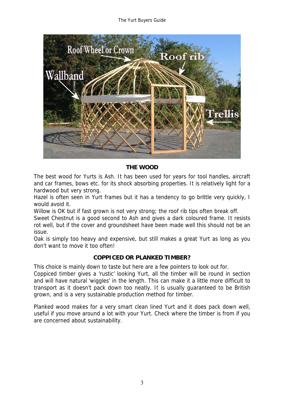The Yurt Buyers Guide



#### **THE WOOD**

The best wood for Yurts is Ash. It has been used for years for tool handles, aircraft and car frames, bows etc. for its shock absorbing properties. It is relatively light for a hardwood but very strong.

Hazel is often seen in Yurt frames but it has a tendency to go brittle very quickly. I would avoid it.

Willow is OK but if fast grown is not very strong; the roof rib tips often break off.

Sweet Chestnut is a good second to Ash and gives a dark coloured frame. It resists rot well, but if the cover and groundsheet have been made well this should not be an issue.

Oak is simply too heavy and expensive, but still makes a great Yurt as long as you don't want to move it too often!

#### **COPPICED OR PLANKED TIMBER?**

This choice is mainly down to taste but here are a few pointers to look out for.

Coppiced timber gives a 'rustic' looking Yurt, all the timber will be round in section and will have natural 'wiggles' in the length. This can make it a little more difficult to transport as it doesn't pack down too neatly. It is usually guaranteed to be British grown, and is a very sustainable production method for timber.

Planked wood makes for a very smart clean lined Yurt and it does pack down well, useful if you move around a lot with your Yurt. Check where the timber is from if you are concerned about sustainability.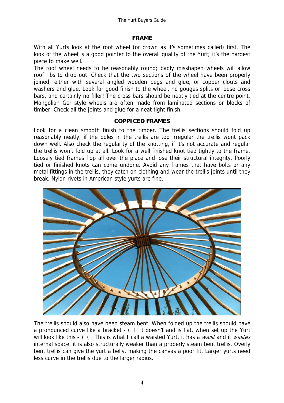#### **FRAME**

With all Yurts look at the roof wheel (or crown as it's sometimes called) first. The look of the wheel is a good pointer to the overall quality of the Yurt; it's the hardest piece to make well.

The roof wheel needs to be reasonably round; badly misshapen wheels will allow roof ribs to drop out. Check that the two sections of the wheel have been properly joined, either with several angled wooden pegs and glue, or copper clouts and washers and glue. Look for good finish to the wheel, no gouges splits or loose cross bars, and certainly no filler! The cross bars should be neatly tied at the centre point. Mongolian Ger style wheels are often made from laminated sections or blocks of timber. Check all the joints and glue for a neat tight finish.

#### **COPPICED FRAMES**

Look for a clean smooth finish to the timber. The trellis sections should fold up reasonably neatly, if the poles in the trellis are too irregular the trellis wont pack down well. Also check the regularity of the knotting, if it's not accurate and regular the trellis won't fold up at all. Look for a well finished knot tied tightly to the frame. Loosely tied frames flop all over the place and lose their structural integrity. Poorly tied or finished knots can come undone. Avoid any frames that have bolts or any metal fittings in the trellis, they catch on clothing and wear the trellis joints until they break. Nylon rivets in American style yurts are fine.



The trellis should also have been steam bent. When folded up the trellis should have a pronounced curve like a bracket - (. If it doesn't and is flat, when set up the Yurt will look like this - ) ( This is what I call a waisted Yurt, it has a waist and it wastes internal space, it is also structurally weaker than a properly steam bent trellis. Overly bent trellis can give the yurt a belly, making the canvas a poor fit. Larger yurts need less curve in the trellis due to the larger radius.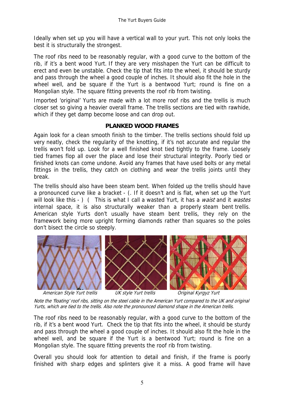Ideally when set up you will have a vertical wall to your yurt. This not only looks the best it is structurally the strongest.

The roof ribs need to be reasonably regular, with a good curve to the bottom of the rib, if it's a bent wood Yurt. If they are very misshapen the Yurt can be difficult to erect and even be unstable. Check the tip that fits into the wheel, it should be sturdy and pass through the wheel a good couple of inches. It should also fit the hole in the wheel well, and be square if the Yurt is a bentwood Yurt; round is fine on a Mongolian style. The square fitting prevents the roof rib from twisting.

Imported 'original' Yurts are made with a lot more roof ribs and the trellis is much closer set so giving a heavier overall frame. The trellis sections are tied with rawhide, which if they get damp become loose and can drop out.

#### **PLANKED WOOD FRAMES**

Again look for a clean smooth finish to the timber. The trellis sections should fold up very neatly, check the regularity of the knotting, if it's not accurate and regular the trellis won't fold up. Look for a well finished knot tied tightly to the frame. Loosely tied frames flop all over the place and lose their structural integrity. Poorly tied or finished knots can come undone. Avoid any frames that have used bolts or any metal fittings in the trellis, they catch on clothing and wear the trellis joints until they break.

The trellis should also have been steam bent. When folded up the trellis should have a pronounced curve like a bracket - (. If it doesn't and is flat, when set up the Yurt will look like this - ) ( This is what I call a wasted Yurt, it has a waist and it wastes internal space, it is also structurally weaker than a properly steam bent trellis. American style Yurts don't usually have steam bent trellis, they rely on the framework being more upright forming diamonds rather than squares so the poles don't bisect the circle so steeply.



Note the 'floating' roof ribs, sitting on the steel cable in the American Yurt compared to the UK and original Yurts, which are tied to the trellis. Also note the pronounced diamond shape in the American trellis.

The roof ribs need to be reasonably regular, with a good curve to the bottom of the rib, if it's a bent wood Yurt. Check the tip that fits into the wheel, it should be sturdy and pass through the wheel a good couple of inches. It should also fit the hole in the wheel well, and be square if the Yurt is a bentwood Yurt; round is fine on a Mongolian style. The square fitting prevents the roof rib from twisting.

Overall you should look for attention to detail and finish, if the frame is poorly finished with sharp edges and splinters give it a miss. A good frame will have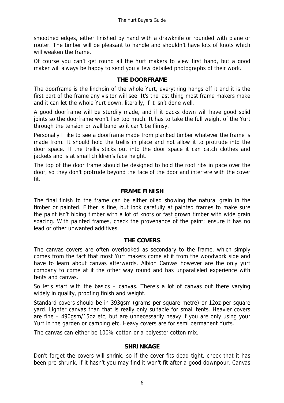smoothed edges, either finished by hand with a drawknife or rounded with plane or router. The timber will be pleasant to handle and shouldn't have lots of knots which will weaken the frame.

Of course you can't get round all the Yurt makers to view first hand, but a good maker will always be happy to send you a few detailed photographs of their work.

#### **THE DOORFRAME**

The doorframe is the linchpin of the whole Yurt, everything hangs off it and it is the first part of the frame any visitor will see. It's the last thing most frame makers make and it can let the whole Yurt down, literally, if it isn't done well.

A good doorframe will be sturdily made, and if it packs down will have good solid joints so the doorframe won't flex too much. It has to take the full weight of the Yurt through the tension or wall band so it can't be flimsy.

Personally I like to see a doorframe made from planked timber whatever the frame is made from. It should hold the trellis in place and not allow it to protrude into the door space. If the trellis sticks out into the door space it can catch clothes and jackets and is at small children's face height.

The top of the door frame should be designed to hold the roof ribs in pace over the door, so they don't protrude beyond the face of the door and interfere with the cover fit.

#### **FRAME FINISH**

The final finish to the frame can be either oiled showing the natural grain in the timber or painted. Either is fine, but look carefully at painted frames to make sure the paint isn't hiding timber with a lot of knots or fast grown timber with wide grain spacing. With painted frames, check the provenance of the paint; ensure it has no lead or other unwanted additives.

#### **THE COVERS**

The canvas covers are often overlooked as secondary to the frame, which simply comes from the fact that most Yurt makers come at it from the woodwork side and have to learn about canvas afterwards. Albion Canvas however are the only yurt company to come at it the other way round and has unparalleled experience with tents and canvas.

So let's start with the basics – canvas. There's a lot of canvas out there varying widely in quality, proofing finish and weight.

Standard covers should be in 393gsm (grams per square metre) or 12oz per square yard. Lighter canvas than that is really only suitable for small tents. Heavier covers are fine – 490gsm/15oz etc, but are unnecessarily heavy if you are only using your Yurt in the garden or camping etc. Heavy covers are for semi permanent Yurts.

The canvas can either be 100% cotton or a polyester cotton mix.

#### **SHRINKAGE**

Don't forget the covers will shrink, so if the cover fits dead tight, check that it has been pre-shrunk, if it hasn't you may find it won't fit after a good downpour. Canvas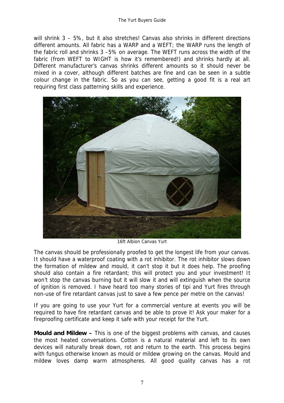will shrink 3 - 5%, but it also stretches! Canvas also shrinks in different directions different amounts. All fabric has a WARP and a WEFT; the WARP runs the length of the fabric roll and shrinks 3 –5% on average. The WEFT runs across the width of the fabric (from WEFT to WIGHT is how it's remembered!) and shrinks hardly at all. Different manufacturer's canvas shrinks different amounts so it should never be mixed in a cover, although different batches are fine and can be seen in a subtle colour change in the fabric. So as you can see, getting a good fit is a real art requiring first class patterning skills and experience.



16ft Albion Canvas Yurt

The canvas should be professionally proofed to get the longest life from your canvas. It should have a waterproof coating with a rot inhibitor. The rot inhibitor slows down the formation of mildew and mould, it can't stop it but it does help. The proofing should also contain a fire retardant; this will protect you and your investment! It won't stop the canvas burning but it will slow it and will extinguish when the source of ignition is removed. I have heard too many stories of tipi and Yurt fires through non-use of fire retardant canvas just to save a few pence per metre on the canvas!

If you are going to use your Yurt for a commercial venture at events you will be required to have fire retardant canvas and be able to prove it! Ask your maker for a fireproofing certificate and keep it safe with your receipt for the Yurt.

**Mould and Mildew –** This is one of the biggest problems with canvas, and causes the most heated conversations. Cotton is a natural material and left to its own devices will naturally break down, rot and return to the earth. This process begins with fungus otherwise known as mould or mildew growing on the canvas. Mould and mildew loves damp warm atmospheres. All good quality canvas has a rot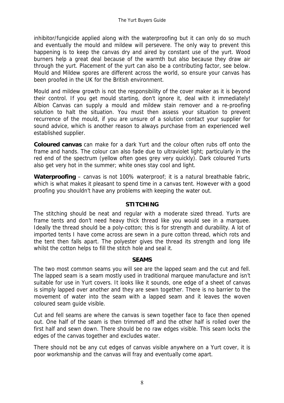inhibitor/fungicide applied along with the waterproofing but it can only do so much and eventually the mould and mildew will persevere. The only way to prevent this happening is to keep the canvas dry and aired by constant use of the yurt. Wood burners help a great deal because of the warmth but also because they draw air through the yurt. Placement of the yurt can also be a contributing factor, see below. Mould and Mildew spores are different across the world, so ensure your canvas has been proofed in the UK for the British environment.

Mould and mildew growth is not the responsibility of the cover maker as it is beyond their control. If you get mould starting, don't ignore it, deal with it immediately! Albion Canvas can supply a mould and mildew stain remover and a re-proofing solution to halt the situation. You must then assess your situation to prevent recurrence of the mould, if you are unsure of a solution contact your supplier for sound advice, which is another reason to always purchase from an experienced well established supplier.

**Coloured canvas** can make for a dark Yurt and the colour often rubs off onto the frame and hands. The colour can also fade due to ultraviolet light; particularly in the red end of the spectrum (yellow often goes grey very quickly). Dark coloured Yurts also get very hot in the summer; white ones stay cool and light.

**Waterproofing** – canvas is not 100% waterproof; it is a natural breathable fabric, which is what makes it pleasant to spend time in a canvas tent. However with a good proofing you shouldn't have any problems with keeping the water out.

#### **STITCHING**

The stitching should be neat and regular with a moderate sized thread. Yurts are frame tents and don't need heavy thick thread like you would see in a marquee. Ideally the thread should be a poly-cotton; this is for strength and durability. A lot of imported tents I have come across are sewn in a pure cotton thread, which rots and the tent then falls apart. The polyester gives the thread its strength and long life whilst the cotton helps to fill the stitch hole and seal it.

#### **SEAMS**

The two most common seams you will see are the lapped seam and the cut and fell. The lapped seam is a seam mostly used in traditional marquee manufacture and isn't suitable for use in Yurt covers. It looks like it sounds, one edge of a sheet of canvas is simply lapped over another and they are sewn together. There is no barrier to the movement of water into the seam with a lapped seam and it leaves the woven coloured seam guide visible.

Cut and fell seams are where the canvas is sewn together face to face then opened out. One half of the seam is then trimmed off and the other half is rolled over the first half and sewn down. There should be no raw edges visible. This seam locks the edges of the canvas together and excludes water.

There should not be any cut edges of canvas visible anywhere on a Yurt cover, it is poor workmanship and the canvas will fray and eventually come apart.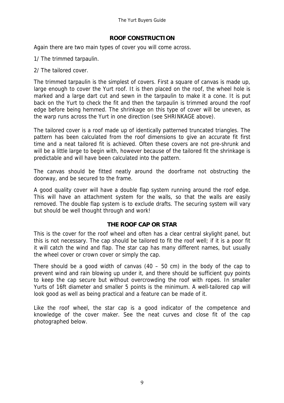#### **ROOF CONSTRUCTION**

Again there are two main types of cover you will come across.

1/ The trimmed tarpaulin.

2/ The tailored cover.

The trimmed tarpaulin is the simplest of covers. First a square of canvas is made up, large enough to cover the Yurt roof. It is then placed on the roof, the wheel hole is marked and a large dart cut and sewn in the tarpaulin to make it a cone. It is put back on the Yurt to check the fit and then the tarpaulin is trimmed around the roof edge before being hemmed. The shrinkage on this type of cover will be uneven, as the warp runs across the Yurt in one direction (see SHRINKAGE above).

The tailored cover is a roof made up of identically patterned truncated triangles. The pattern has been calculated from the roof dimensions to give an accurate fit first time and a neat tailored fit is achieved. Often these covers are not pre-shrunk and will be a little large to begin with, however because of the tailored fit the shrinkage is predictable and will have been calculated into the pattern.

The canvas should be fitted neatly around the doorframe not obstructing the doorway, and be secured to the frame.

A good quality cover will have a double flap system running around the roof edge. This will have an attachment system for the walls, so that the walls are easily removed. The double flap system is to exclude drafts. The securing system will vary but should be well thought through and work!

#### **THE ROOF CAP OR STAR**

This is the cover for the roof wheel and often has a clear central skylight panel, but this is not necessary. The cap should be tailored to fit the roof well; if it is a poor fit it will catch the wind and flap. The star cap has many different names, but usually the wheel cover or crown cover or simply the cap.

There should be a good width of canvas  $(40 - 50$  cm) in the body of the cap to prevent wind and rain blowing up under it, and there should be sufficient guy points to keep the cap secure but without overcrowding the roof with ropes. In smaller Yurts of 16ft diameter and smaller 5 points is the minimum. A well-tailored cap will look good as well as being practical and a feature can be made of it.

Like the roof wheel, the star cap is a good indicator of the competence and knowledge of the cover maker. See the neat curves and close fit of the cap photographed below.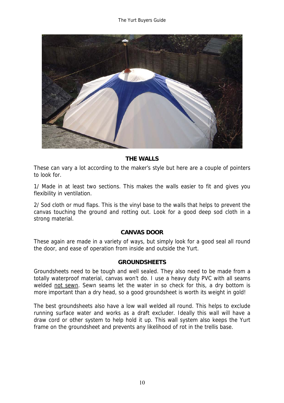

#### **THE WALLS**

These can vary a lot according to the maker's style but here are a couple of pointers to look for.

1/ Made in at least two sections. This makes the walls easier to fit and gives you flexibility in ventilation.

2/ Sod cloth or mud flaps. This is the vinyl base to the walls that helps to prevent the canvas touching the ground and rotting out. Look for a good deep sod cloth in a strong material.

#### **CANVAS DOOR**

These again are made in a variety of ways, but simply look for a good seal all round the door, and ease of operation from inside and outside the Yurt.

#### **GROUNDSHEETS**

Groundsheets need to be tough and well sealed. They also need to be made from a totally waterproof material, canvas won't do. I use a heavy duty PVC with all seams welded not sewn. Sewn seams let the water in so check for this, a dry bottom is more important than a dry head, so a good groundsheet is worth its weight in gold!

The best groundsheets also have a low wall welded all round. This helps to exclude running surface water and works as a draft excluder. Ideally this wall will have a draw cord or other system to help hold it up. This wall system also keeps the Yurt frame on the groundsheet and prevents any likelihood of rot in the trellis base.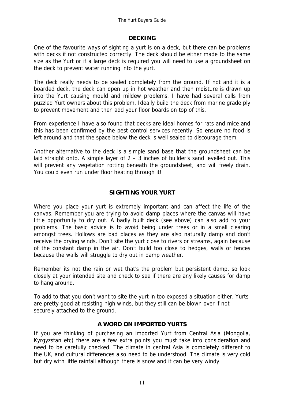#### **DECKING**

One of the favourite ways of sighting a yurt is on a deck, but there can be problems with decks if not constructed correctly. The deck should be either made to the same size as the Yurt or if a large deck is required you will need to use a groundsheet on the deck to prevent water running into the yurt.

The deck really needs to be sealed completely from the ground. If not and it is a boarded deck, the deck can open up in hot weather and then moisture is drawn up into the Yurt causing mould and mildew problems. I have had several calls from puzzled Yurt owners about this problem. Ideally build the deck from marine grade ply to prevent movement and then add your floor boards on top of this.

From experience I have also found that decks are ideal homes for rats and mice and this has been confirmed by the pest control services recently. So ensure no food is left around and that the space below the deck is well sealed to discourage them.

Another alternative to the deck is a simple sand base that the groundsheet can be laid straight onto. A simple layer of 2 – 3 inches of builder's sand levelled out. This will prevent any vegetation rotting beneath the groundsheet, and will freely drain. You could even run under floor heating through it!

#### **SIGHTING YOUR YURT**

Where you place your yurt is extremely important and can affect the life of the canvas. Remember you are trying to avoid damp places where the canvas will have little opportunity to dry out. A badly built deck (see above) can also add to your problems. The basic advice is to avoid being under trees or in a small clearing amongst trees. Hollows are bad places as they are also naturally damp and don't receive the drying winds. Don't site the yurt close to rivers or streams, again because of the constant damp in the air. Don't build too close to hedges, walls or fences because the walls will struggle to dry out in damp weather.

Remember its not the rain or wet that's the problem but persistent damp, so look closely at your intended site and check to see if there are any likely causes for damp to hang around.

To add to that you don't want to site the yurt in too exposed a situation either. Yurts are pretty good at resisting high winds, but they still can be blown over if not securely attached to the ground.

#### **A WORD ON IMPORTED YURTS**

If you are thinking of purchasing an imported Yurt from Central Asia (Mongolia, Kyrgyzstan etc) there are a few extra points you must take into consideration and need to be carefully checked. The climate in central Asia is completely different to the UK, and cultural differences also need to be understood. The climate is very cold but dry with little rainfall although there is snow and it can be very windy.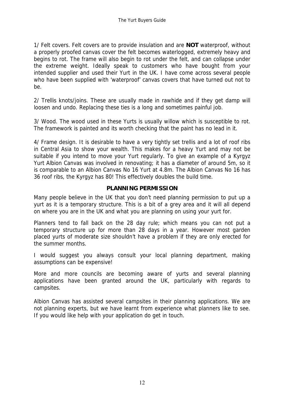1/ Felt covers. Felt covers are to provide insulation and are **NOT** waterproof, without a properly proofed canvas cover the felt becomes waterlogged, extremely heavy and begins to rot. The frame will also begin to rot under the felt, and can collapse under the extreme weight. Ideally speak to customers who have bought from your intended supplier and used their Yurt in the UK. I have come across several people who have been supplied with 'waterproof' canvas covers that have turned out not to be.

2/ Trellis knots/joins. These are usually made in rawhide and if they get damp will loosen and undo. Replacing these ties is a long and sometimes painful job.

3/ Wood. The wood used in these Yurts is usually willow which is susceptible to rot. The framework is painted and its worth checking that the paint has no lead in it.

4/ Frame design. It is desirable to have a very tightly set trellis and a lot of roof ribs in Central Asia to show your wealth. This makes for a heavy Yurt and may not be suitable if you intend to move your Yurt regularly. To give an example of a Kyrgyz Yurt Albion Canvas was involved in renovating; it has a diameter of around 5m, so it is comparable to an Albion Canvas No 16 Yurt at 4.8m. The Albion Canvas No 16 has 36 roof ribs, the Kyrgyz has 80! This effectively doubles the build time.

#### **PLANNING PERMISSION**

Many people believe in the UK that you don't need planning permission to put up a yurt as it is a temporary structure. This is a bit of a grey area and it will all depend on where you are in the UK and what you are planning on using your yurt for.

Planners tend to fall back on the 28 day rule; which means you can not put a temporary structure up for more than 28 days in a year. However most garden placed yurts of moderate size shouldn't have a problem if they are only erected for the summer months.

I would suggest you always consult your local planning department, making assumptions can be expensive!

More and more councils are becoming aware of yurts and several planning applications have been granted around the UK, particularly with regards to campsites.

Albion Canvas has assisted several campsites in their planning applications. We are not planning experts, but we have learnt from experience what planners like to see. If you would like help with your application do get in touch.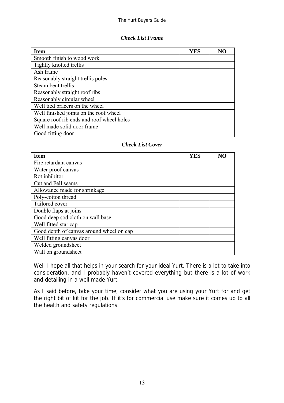#### *Check List Frame*

| <b>Item</b>                               | <b>YES</b> | N <sub>O</sub> |
|-------------------------------------------|------------|----------------|
| Smooth finish to wood work                |            |                |
| Tightly knotted trellis                   |            |                |
| Ash frame                                 |            |                |
| Reasonably straight trellis poles         |            |                |
| Steam bent trellis                        |            |                |
| Reasonably straight roof ribs             |            |                |
| Reasonably circular wheel                 |            |                |
| Well tied bracers on the wheel            |            |                |
| Well finished joints on the roof wheel    |            |                |
| Square roof rib ends and roof wheel holes |            |                |
| Well made solid door frame                |            |                |
| Good fitting door                         |            |                |

#### *Check List Cover*

| <b>Item</b>                              | YES | N <sub>O</sub> |
|------------------------------------------|-----|----------------|
| Fire retardant canvas                    |     |                |
| Water proof canvas                       |     |                |
| Rot inhibitor                            |     |                |
| Cut and Fell seams                       |     |                |
| Allowance made for shrinkage             |     |                |
| Poly-cotton thread                       |     |                |
| Tailored cover                           |     |                |
| Double flaps at joins                    |     |                |
| Good deep sod cloth on wall base         |     |                |
| Well fitted star cap                     |     |                |
| Good depth of canvas around wheel on cap |     |                |
| Well fitting canvas door                 |     |                |
| Welded groundsheet                       |     |                |
| Wall on groundsheet                      |     |                |

Well I hope all that helps in your search for your ideal Yurt. There is a lot to take into consideration, and I probably haven't covered everything but there is a lot of work and detailing in a well made Yurt.

As I said before, take your time, consider what you are using your Yurt for and get the right bit of kit for the job. If it's for commercial use make sure it comes up to all the health and safety regulations.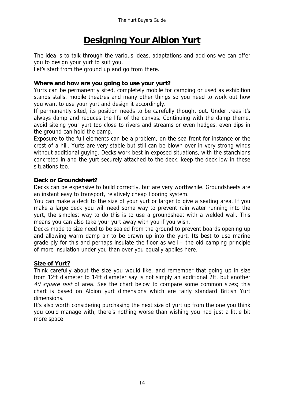#### **Designing Your Albion Yurt** .

The idea is to talk through the various ideas, adaptations and add-ons we can offer you to design your yurt to suit you.

Let's start from the ground up and go from there.

#### **Where and how are you going to use your yurt?**

Yurts can be permanently sited, completely mobile for camping or used as exhibition stands stalls, mobile theatres and many other things so you need to work out how you want to use your yurt and design it accordingly.

If permanently sited, its position needs to be carefully thought out. Under trees it's always damp and reduces the life of the canvas. Continuing with the damp theme, avoid siteing your yurt too close to rivers and streams or even hedges, even dips in the ground can hold the damp.

Exposure to the full elements can be a problem, on the sea front for instance or the crest of a hill. Yurts are very stable but still can be blown over in very strong winds without additional guying. Decks work best in exposed situations, with the stanchions concreted in and the yurt securely attached to the deck, keep the deck low in these situations too.

#### **Deck or Groundsheet?**

Decks can be expensive to build correctly, but are very worthwhile. Groundsheets are an instant easy to transport, relatively cheap flooring system.

You can make a deck to the size of your yurt or larger to give a seating area. If you make a large deck you will need some way to prevent rain water running into the yurt, the simplest way to do this is to use a groundsheet with a welded wall. This means you can also take your yurt away with you if you wish.

Decks made to size need to be sealed from the ground to prevent boards opening up and allowing warm damp air to be drawn up into the yurt. Its best to use marine grade ply for this and perhaps insulate the floor as well – the old camping principle of more insulation under you than over you equally applies here.

#### **Size of Yurt?**

Think carefully about the size you would like, and remember that going up in size from 12ft diameter to 14ft diameter say is not simply an additional 2ft, but another 40 square feet of area. See the chart below to compare some common sizes; this chart is based on Albion yurt dimensions which are fairly standard British Yurt dimensions.

It's also worth considering purchasing the next size of yurt up from the one you think you could manage with, there's nothing worse than wishing you had just a little bit more space!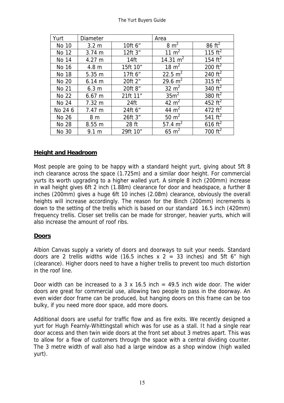| Yurt         | <b>Diameter</b>  |                  | Area             |                   |
|--------------|------------------|------------------|------------------|-------------------|
| No 10        | 3.2 <sub>m</sub> | 10ft 6"          | $8 \text{ m}^2$  | $86 \text{ ft}^2$ |
| No 12        | 3.74 m           | 12ft 3"          | 11 $m2$          | 115 $ft^2$        |
| No 14        | $4.27 \; m$      | 14 <sub>ft</sub> | 14.31 $m2$       | 154 $ft^2$        |
| No 16        | 4.8 <sub>m</sub> | 15ft 10"         | 18 $m2$          | 200 $ft^2$        |
| <b>No 18</b> | 5.35 m           | 17ft 6"          | 22.5 $m^2$       | 240 $ft^2$        |
| No 20        | $6.14 \; m$      | 20ft 2"          | 29.6 $m^2$       | 315 $ft^2$        |
| No 21        | 6.3 <sub>m</sub> | 20ft 8"          | $32 \text{ m}^2$ | 340 $ft2$         |
| No 22        | $6.67 \; m$      | 21ft 11"         | 35m <sup>2</sup> | 380 $ft^2$        |
| No 24        | $7.32 \; m$      | 24ft             | 42 $m2$          | 452 $ft^2$        |
| No 24 6      | 7.47 m           | 24ft 6"          | 44 $m2$          | 472 $ft^2$        |
| No 26        | 8 <sub>m</sub>   | 26ft 3"          | 50 $m2$          | 541 $ft^2$        |
| <b>No 28</b> | 8.55 m           | 28 ft            | 57.4 $m2$        | 616 $ft^2$        |
| No 30        | 9.1 m            | 29ft 10"         | $65 \text{ m}^2$ | 700 $ft^2$        |

#### **Height and Headroom**

Most people are going to be happy with a standard height yurt, giving about 5ft 8 inch clearance across the space (1.725m) and a similar door height. For commercial yurts its worth upgrading to a higher walled yurt. A simple 8 inch (200mm) increase in wall height gives 6ft 2 inch (1.88m) clearance for door and headspace, a further 8 inches (200mm) gives a huge 6ft 10 inches (2.08m) clearance, obviously the overall heights will increase accordingly. The reason for the 8inch (200mm) increments is down to the setting of the trellis which is based on our standard 16.5 inch (420mm) frequency trellis. Closer set trellis can be made for stronger, heavier yurts, which will also increase the amount of roof ribs.

#### **Doors**

Albion Canvas supply a variety of doors and doorways to suit your needs. Standard doors are 2 trellis widths wide (16.5 inches  $x$  2 = 33 inches) and 5ft 6<sup>"</sup> high (clearance). Higher doors need to have a higher trellis to prevent too much distortion in the roof line.

Door width can be increased to a 3 x 16.5 inch  $=$  49.5 inch wide door. The wider doors are great for commercial use, allowing two people to pass in the doorway. An even wider door frame can be produced, but hanging doors on this frame can be too bulky, if you need more door space, add more doors.

Additional doors are useful for traffic flow and as fire exits. We recently designed a yurt for Hugh Fearnly-Whittingstall which was for use as a stall. It had a single rear door access and then twin wide doors at the front set about 3 metres apart. This was to allow for a flow of customers through the space with a central dividing counter. The 3 metre width of wall also had a large window as a shop window (high walled yurt).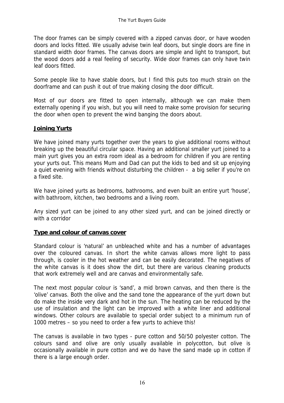The door frames can be simply covered with a zipped canvas door, or have wooden doors and locks fitted. We usually advise twin leaf doors, but single doors are fine in standard width door frames. The canvas doors are simple and light to transport, but the wood doors add a real feeling of security. Wide door frames can only have twin leaf doors fitted.

Some people like to have stable doors, but I find this puts too much strain on the doorframe and can push it out of true making closing the door difficult.

Most of our doors are fitted to open internally, although we can make them externally opening if you wish, but you will need to make some provision for securing the door when open to prevent the wind banging the doors about.

#### **Joining Yurts**

We have joined many yurts together over the years to give additional rooms without breaking up the beautiful circular space. Having an additional smaller yurt joined to a main yurt gives you an extra room ideal as a bedroom for children if you are renting your yurts out. This means Mum and Dad can put the kids to bed and sit up enjoying a quiet evening with friends without disturbing the children - a big seller if you're on a fixed site.

We have joined yurts as bedrooms, bathrooms, and even built an entire yurt 'house', with bathroom, kitchen, two bedrooms and a living room.

Any sized yurt can be joined to any other sized yurt, and can be joined directly or with a corridor

#### **Type and colour of canvas cover**

Standard colour is 'natural' an unbleached white and has a number of advantages over the coloured canvas. In short the white canvas allows more light to pass through, is cooler in the hot weather and can be easily decorated. The negatives of the white canvas is it does show the dirt, but there are various cleaning products that work extremely well and are canvas and environmentally safe.

The next most popular colour is 'sand', a mid brown canvas, and then there is the 'olive' canvas. Both the olive and the sand tone the appearance of the yurt down but do make the inside very dark and hot in the sun. The heating can be reduced by the use of insulation and the light can be improved with a white liner and additional windows. Other colours are available to special order subject to a minimum run of 1000 metres – so you need to order a few yurts to achieve this!

The canvas is available in two types - pure cotton and 50/50 polyester cotton. The colours sand and olive are only usually available in polycotton, but olive is occasionally available in pure cotton and we do have the sand made up in cotton if there is a large enough order.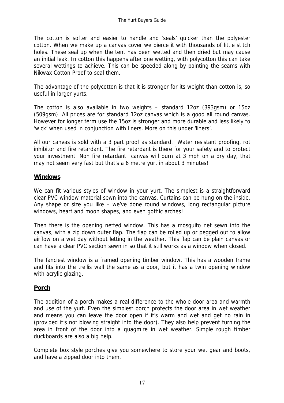The cotton is softer and easier to handle and 'seals' quicker than the polyester cotton. When we make up a canvas cover we pierce it with thousands of little stitch holes. These seal up when the tent has been wetted and then dried but may cause an initial leak. In cotton this happens after one wetting, with polycotton this can take several wettings to achieve. This can be speeded along by painting the seams with Nikwax Cotton Proof to seal them.

The advantage of the polycotton is that it is stronger for its weight than cotton is, so useful in larger yurts.

The cotton is also available in two weights – standard 12oz (393gsm) or 15oz (509gsm). All prices are for standard 12oz canvas which is a good all round canvas. However for longer term use the 15oz is stronger and more durable and less likely to 'wick' when used in conjunction with liners. More on this under 'liners'.

All our canvas is sold with a 3 part proof as standard. Water resistant proofing, rot inhibitor and fire retardant. The fire retardant is there for your safety and to protect your investment. Non fire retardant canvas will burn at 3 mph on a dry day, that may not seem very fast but that's a 6 metre yurt in about 3 minutes!

#### **Windows**

We can fit various styles of window in your yurt. The simplest is a straightforward clear PVC window material sewn into the canvas. Curtains can be hung on the inside. Any shape or size you like – we've done round windows, long rectangular picture windows, heart and moon shapes, and even gothic arches!

Then there is the opening netted window. This has a mosquito net sewn into the canvas, with a zip down outer flap. The flap can be rolled up or pegged out to allow airflow on a wet day without letting in the weather. This flap can be plain canvas or can have a clear PVC section sewn in so that it still works as a window when closed.

The fanciest window is a framed opening timber window. This has a wooden frame and fits into the trellis wall the same as a door, but it has a twin opening window with acrylic glazing.

#### **Porch**

The addition of a porch makes a real difference to the whole door area and warmth and use of the yurt. Even the simplest porch protects the door area in wet weather and means you can leave the door open if it's warm and wet and get no rain in (provided it's not blowing straight into the door). They also help prevent turning the area in front of the door into a quagmire in wet weather. Simple rough timber duckboards are also a big help.

Complete box style porches give you somewhere to store your wet gear and boots, and have a zipped door into them.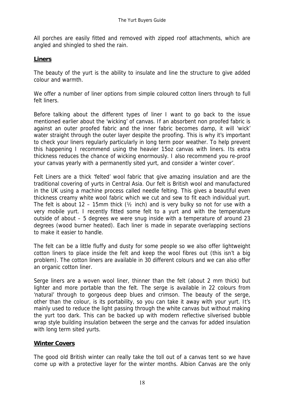All porches are easily fitted and removed with zipped roof attachments, which are angled and shingled to shed the rain.

#### **Liners**

The beauty of the yurt is the ability to insulate and line the structure to give added colour and warmth.

We offer a number of liner options from simple coloured cotton liners through to full felt liners.

Before talking about the different types of liner I want to go back to the issue mentioned earlier about the 'wicking' of canvas. If an absorbent non proofed fabric is against an outer proofed fabric and the inner fabric becomes damp, it will 'wick' water straight through the outer layer despite the proofing. This is why it's important to check your liners regularly particularly in long term poor weather. To help prevent this happening I recommend using the heavier 15oz canvas with liners. Its extra thickness reduces the chance of wicking enormously. I also recommend you re-proof your canvas yearly with a permanently sited yurt, and consider a 'winter cover'.

Felt Liners are a thick 'felted' wool fabric that give amazing insulation and are the traditional covering of yurts in Central Asia. Our felt is British wool and manufactured in the UK using a machine process called needle felting. This gives a beautiful even thickness creamy white wool fabric which we cut and sew to fit each individual yurt. The felt is about 12 – 15mm thick ( $\frac{1}{2}$  inch) and is very bulky so not for use with a very mobile yurt. I recently fitted some felt to a yurt and with the temperature outside of about – 5 degrees we were snug inside with a temperature of around 23 degrees (wood burner heated). Each liner is made in separate overlapping sections to make it easier to handle.

The felt can be a little fluffy and dusty for some people so we also offer lightweight cotton liners to place inside the felt and keep the wool fibres out (this isn't a big problem). The cotton liners are available in 30 different colours and we can also offer an organic cotton liner.

Serge liners are a woven wool liner, thinner than the felt (about 2 mm thick) but lighter and more portable than the felt. The serge is available in 22 colours from 'natural' through to gorgeous deep blues and crimson. The beauty of the serge, other than the colour, is its portability, so you can take it away with your yurt. It's mainly used to reduce the light passing through the white canvas but without making the yurt too dark. This can be backed up with modern reflective silverised bubble wrap style building insulation between the serge and the canvas for added insulation with long term sited yurts.

#### **Winter Covers**

The good old British winter can really take the toll out of a canvas tent so we have come up with a protective layer for the winter months. Albion Canvas are the only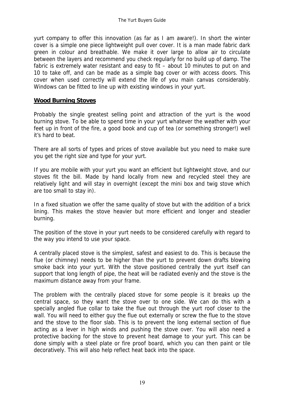yurt company to offer this innovation (as far as I am aware!). In short the winter cover is a simple one piece lightweight pull over cover. It is a man made fabric dark green in colour and breathable. We make it over large to allow air to circulate between the layers and recommend you check regularly for no build up of damp. The fabric is extremely water resistant and easy to fit – about 10 minutes to put on and 10 to take off, and can be made as a simple bag cover or with access doors. This cover when used correctly will extend the life of you main canvas considerably. Windows can be fitted to line up with existing windows in your yurt.

#### **Wood Burning Stoves**

Probably the single greatest selling point and attraction of the yurt is the wood burning stove. To be able to spend time in your yurt whatever the weather with your feet up in front of the fire, a good book and cup of tea (or something stronger!) well it's hard to beat.

There are all sorts of types and prices of stove available but you need to make sure you get the right size and type for your yurt.

If you are mobile with your yurt you want an efficient but lightweight stove, and our stoves fit the bill. Made by hand locally from new and recycled steel they are relatively light and will stay in overnight (except the mini box and twig stove which are too small to stay in).

In a fixed situation we offer the same quality of stove but with the addition of a brick lining. This makes the stove heavier but more efficient and longer and steadier burning.

The position of the stove in your yurt needs to be considered carefully with regard to the way you intend to use your space.

A centrally placed stove is the simplest, safest and easiest to do. This is because the flue (or chimney) needs to be higher than the yurt to prevent down drafts blowing smoke back into your yurt. With the stove positioned centrally the yurt itself can support that long length of pipe, the heat will be radiated evenly and the stove is the maximum distance away from your frame.

The problem with the centrally placed stove for some people is it breaks up the central space, so they want the stove over to one side. We can do this with a specially angled flue collar to take the flue out through the yurt roof closer to the wall. You will need to either guy the flue out externally or screw the flue to the stove and the stove to the floor slab. This is to prevent the long external section of flue acting as a lever in high winds and pushing the stove over. You will also need a protective backing for the stove to prevent heat damage to your yurt. This can be done simply with a steel plate or fire proof board, which you can then paint or tile decoratively. This will also help reflect heat back into the space.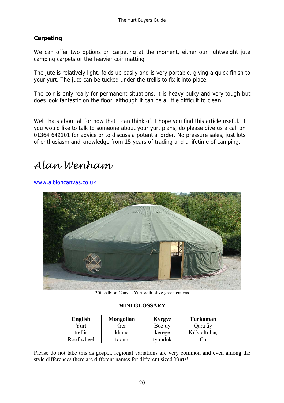#### **Carpeting**

We can offer two options on carpeting at the moment, either our lightweight jute camping carpets or the heavier coir matting.

The jute is relatively light, folds up easily and is very portable, giving a quick finish to your yurt. The jute can be tucked under the trellis to fix it into place.

The coir is only really for permanent situations, it is heavy bulky and very tough but does look fantastic on the floor, although it can be a little difficult to clean.

Well thats about all for now that I can think of. I hope you find this article useful. If you would like to talk to someone about your yurt plans, do please give us a call on 01364 649101 for advice or to discuss a potential order. No pressure sales, just lots of enthusiasm and knowledge from 15 years of trading and a lifetime of camping.

## *Alan Wenham*

www.albioncanvas.co.uk



30ft Albion Canvas Yurt with olive green canvas

#### **MINI GLOSSARY**

| <b>English</b> | <b>Mongolian</b> | Kyrgyz  | <b>Turkoman</b> |
|----------------|------------------|---------|-----------------|
| Yurt           | Ger              | Boz uy  | Qara űy         |
| trellis        | khana            | kerege  | Kïrk-altï bas   |
| Roof wheel     | toono            | tvunduk | Dа              |

Please do not take this as gospel, regional variations are very common and even among the style differences there are different names for different sized Yurts!